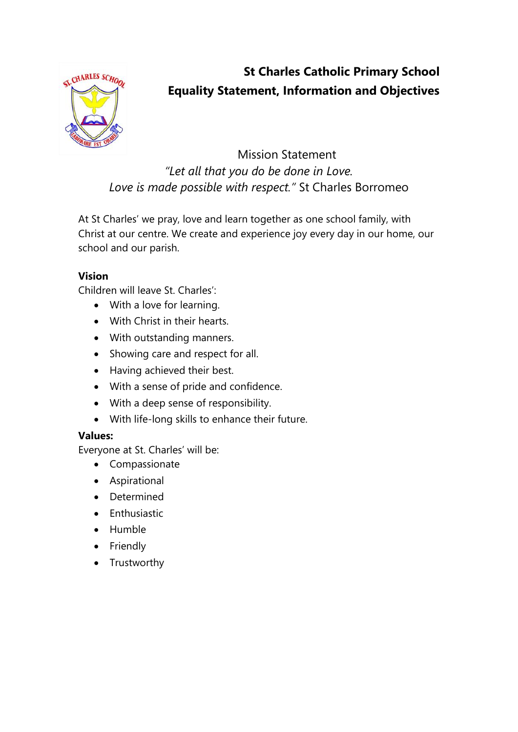

# **St Charles Catholic Primary School Equality Statement, Information and Objectives**

## Mission Statement *"Let all that you do be done in Love. Love is made possible with respect."* St Charles Borromeo

At St Charles' we pray, love and learn together as one school family, with Christ at our centre. We create and experience joy every day in our home, our school and our parish.

### **Vision**

Children will leave St. Charles':

- With a love for learning.
- With Christ in their hearts.
- With outstanding manners.
- Showing care and respect for all.
- Having achieved their best.
- With a sense of pride and confidence.
- With a deep sense of responsibility.
- With life-long skills to enhance their future.

#### **Values:**

Everyone at St. Charles' will be:

- Compassionate
- Aspirational
- Determined
- Enthusiastic
- Humble
- Friendly
- Trustworthy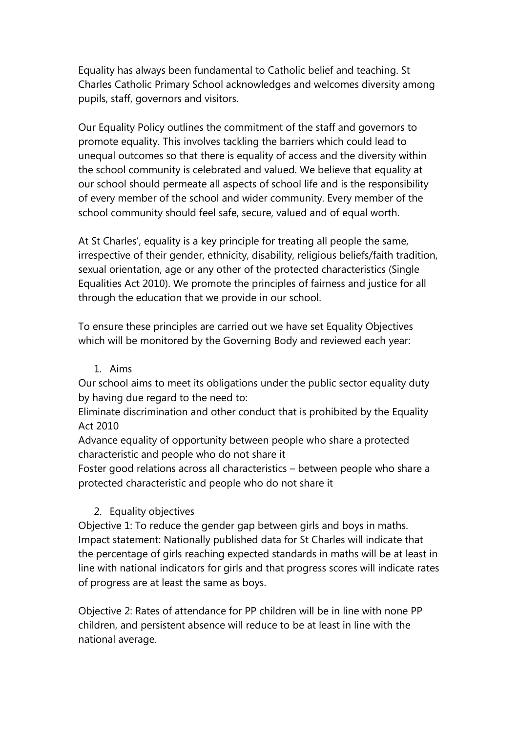Equality has always been fundamental to Catholic belief and teaching. St Charles Catholic Primary School acknowledges and welcomes diversity among pupils, staff, governors and visitors.

Our Equality Policy outlines the commitment of the staff and governors to promote equality. This involves tackling the barriers which could lead to unequal outcomes so that there is equality of access and the diversity within the school community is celebrated and valued. We believe that equality at our school should permeate all aspects of school life and is the responsibility of every member of the school and wider community. Every member of the school community should feel safe, secure, valued and of equal worth.

At St Charles', equality is a key principle for treating all people the same, irrespective of their gender, ethnicity, disability, religious beliefs/faith tradition, sexual orientation, age or any other of the protected characteristics (Single Equalities Act 2010). We promote the principles of fairness and justice for all through the education that we provide in our school.

To ensure these principles are carried out we have set Equality Objectives which will be monitored by the Governing Body and reviewed each year:

1. Aims

Our school aims to meet its obligations under the public sector equality duty by having due regard to the need to:

Eliminate discrimination and other conduct that is prohibited by the Equality Act 2010

Advance equality of opportunity between people who share a protected characteristic and people who do not share it

Foster good relations across all characteristics – between people who share a protected characteristic and people who do not share it

#### 2. Equality objectives

Objective 1: To reduce the gender gap between girls and boys in maths. Impact statement: Nationally published data for St Charles will indicate that the percentage of girls reaching expected standards in maths will be at least in line with national indicators for girls and that progress scores will indicate rates of progress are at least the same as boys.

Objective 2: Rates of attendance for PP children will be in line with none PP children, and persistent absence will reduce to be at least in line with the national average.